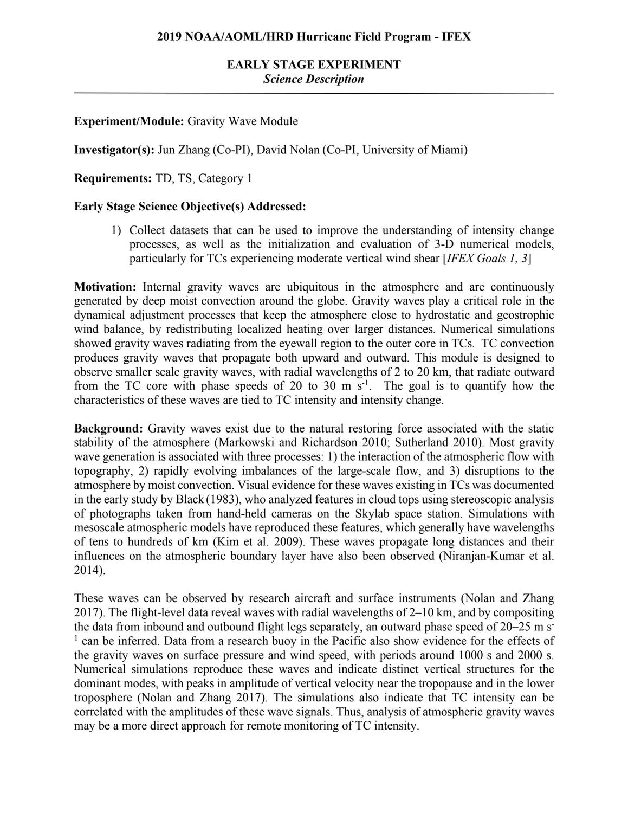# **EARLY STAGE EXPERIMENT** *Science Description*

## **Experiment/Module:** Gravity Wave Module

**Investigator(s):** Jun Zhang (Co-PI), David Nolan (Co-PI, University of Miami)

**Requirements:** TD, TS, Category 1

### **Early Stage Science Objective(s) Addressed:**

1) Collect datasets that can be used to improve the understanding of intensity change processes, as well as the initialization and evaluation of 3-D numerical models, particularly for TCs experiencing moderate vertical wind shear [*IFEX Goals 1, 3*]

**Motivation:** Internal gravity waves are ubiquitous in the atmosphere and are continuously generated by deep moist convection around the globe. Gravity waves play a critical role in the dynamical adjustment processes that keep the atmosphere close to hydrostatic and geostrophic wind balance, by redistributing localized heating over larger distances. Numerical simulations showed gravity waves radiating from the eyewall region to the outer core in TCs. TC convection produces gravity waves that propagate both upward and outward. This module is designed to observe smaller scale gravity waves, with radial wavelengths of 2 to 20 km, that radiate outward from the TC core with phase speeds of 20 to 30 m  $s^{-1}$ . The goal is to quantify how the characteristics of these waves are tied to TC intensity and intensity change.

**Background:** Gravity waves exist due to the natural restoring force associated with the static stability of the atmosphere (Markowski and Richardson 2010; Sutherland 2010). Most gravity wave generation is associated with three processes: 1) the interaction of the atmospheric flow with topography, 2) rapidly evolving imbalances of the large-scale flow, and 3) disruptions to the atmosphere by moist convection. Visual evidence for these waves existing in TCs was documented in the early study by Black (1983), who analyzed features in cloud tops using stereoscopic analysis of photographs taken from hand-held cameras on the Skylab space station. Simulations with mesoscale atmospheric models have reproduced these features, which generally have wavelengths of tens to hundreds of km (Kim et al. 2009). These waves propagate long distances and their influences on the atmospheric boundary layer have also been observed (Niranjan-Kumar et al. 2014).

These waves can be observed by research aircraft and surface instruments (Nolan and Zhang 2017). The flight-level data reveal waves with radial wavelengths of 2–10 km, and by compositing the data from inbound and outbound flight legs separately, an outward phase speed of 20–25 m s<sup>-</sup> <sup>1</sup> can be inferred. Data from a research buoy in the Pacific also show evidence for the effects of the gravity waves on surface pressure and wind speed, with periods around 1000 s and 2000 s. Numerical simulations reproduce these waves and indicate distinct vertical structures for the dominant modes, with peaks in amplitude of vertical velocity near the tropopause and in the lower troposphere (Nolan and Zhang 2017). The simulations also indicate that TC intensity can be correlated with the amplitudes of these wave signals. Thus, analysis of atmospheric gravity waves may be a more direct approach for remote monitoring of TC intensity.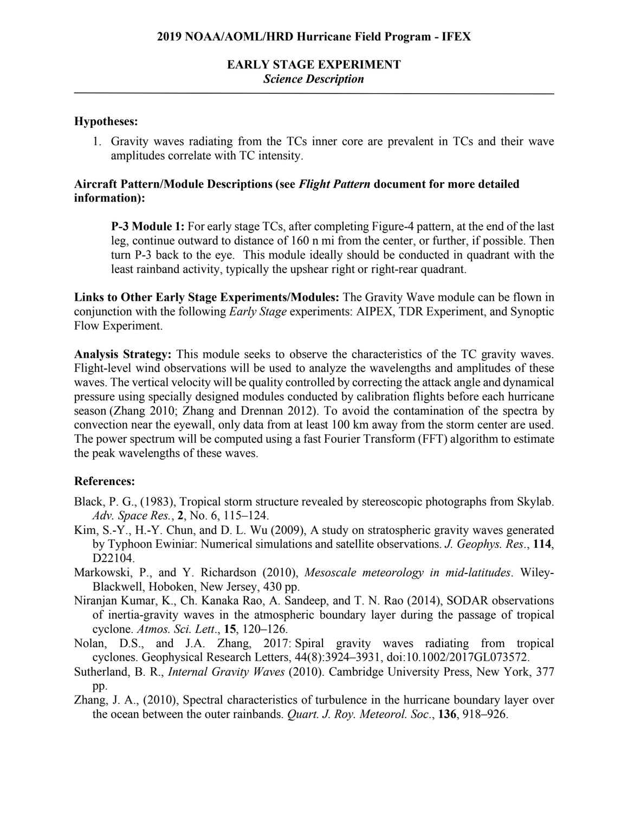# **EARLY STAGE EXPERIMENT** *Science Description*

#### **Hypotheses:**

1. Gravity waves radiating from the TCs inner core are prevalent in TCs and their wave amplitudes correlate with TC intensity.

## **Aircraft Pattern/Module Descriptions (see** *Flight Pattern* **document for more detailed information):**

**P-3 Module 1:** For early stage TCs, after completing Figure-4 pattern, at the end of the last leg, continue outward to distance of 160 n mi from the center, or further, if possible. Then turn P-3 back to the eye. This module ideally should be conducted in quadrant with the least rainband activity, typically the upshear right or right-rear quadrant.

**Links to Other Early Stage Experiments/Modules:** The Gravity Wave module can be flown in conjunction with the following *Early Stage* experiments: AIPEX, TDR Experiment, and Synoptic Flow Experiment.

**Analysis Strategy:** This module seeks to observe the characteristics of the TC gravity waves. Flight-level wind observations will be used to analyze the wavelengths and amplitudes of these waves. The vertical velocity will be quality controlled by correcting the attack angle and dynamical pressure using specially designed modules conducted by calibration flights before each hurricane season (Zhang 2010; Zhang and Drennan 2012). To avoid the contamination of the spectra by convection near the eyewall, only data from at least 100 km away from the storm center are used. The power spectrum will be computed using a fast Fourier Transform (FFT) algorithm to estimate the peak wavelengths of these waves.

### **References:**

- Black, P. G., (1983), Tropical storm structure revealed by stereoscopic photographs from Skylab. *Adv. Space Res.*, **2**, No. 6, 115–124.
- Kim, S.-Y., H.-Y. Chun, and D. L. Wu (2009), A study on stratospheric gravity waves generated by Typhoon Ewiniar: Numerical simulations and satellite observations. *J. Geophys. Res*., **114**, D22104.
- Markowski, P., and Y. Richardson (2010), *Mesoscale meteorology in mid-latitudes*. Wiley-Blackwell, Hoboken, New Jersey, 430 pp.
- Niranjan Kumar, K., Ch. Kanaka Rao, A. Sandeep, and T. N. Rao (2014), SODAR observations of inertia-gravity waves in the atmospheric boundary layer during the passage of tropical cyclone. *Atmos. Sci. Lett*., **15**, 120–126.
- Nolan, D.S., and J.A. Zhang, 2017: Spiral gravity waves radiating from tropical cyclones. Geophysical Research Letters, 44(8):3924–3931, doi:10.1002/2017GL073572.
- Sutherland, B. R., *Internal Gravity Waves* (2010). Cambridge University Press, New York, 377 pp.
- Zhang, J. A., (2010), Spectral characteristics of turbulence in the hurricane boundary layer over the ocean between the outer rainbands. *Quart. J. Roy. Meteorol. Soc*., **136**, 918–926.